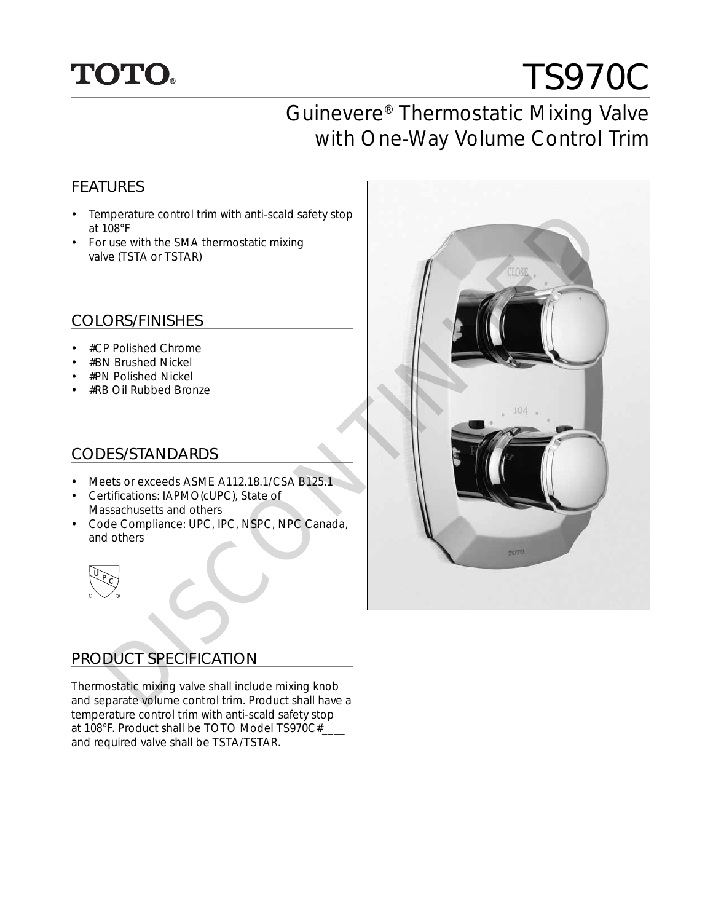## **TOTO.**

# TS970C

## Guinevere® Thermostatic Mixing Valve with One-Way Volume Control Trim

#### FEATURES

- Temperature control trim with anti-scald safety stop at 108°F
- For use with the SMA thermostatic mixing valve (TSTA or TSTAR)

#### COLORS/FINISHES

- #CP Polished Chrome
- #BN Brushed Nickel
- #PN Polished Nickel
- #RB Oil Rubbed Bronze

#### CODES/STANDARDS

- Meets or exceeds ASME A112.18.1/CSA B125.1
- Certifications: IAPMO(cUPC), State of Massachusetts and others
- Code Compliance: UPC, IPC, NSPC, NPC Canada, and others



#### PRODUCT SPECIFICATION

Thermostatic mixing valve shall include mixing knob and separate volume control trim. Product shall have a temperature control trim with anti-scald safety stop at 108°F. Product shall be TOTO Model TS970C#\_\_\_\_ and required valve shall be TSTA/TSTAR.